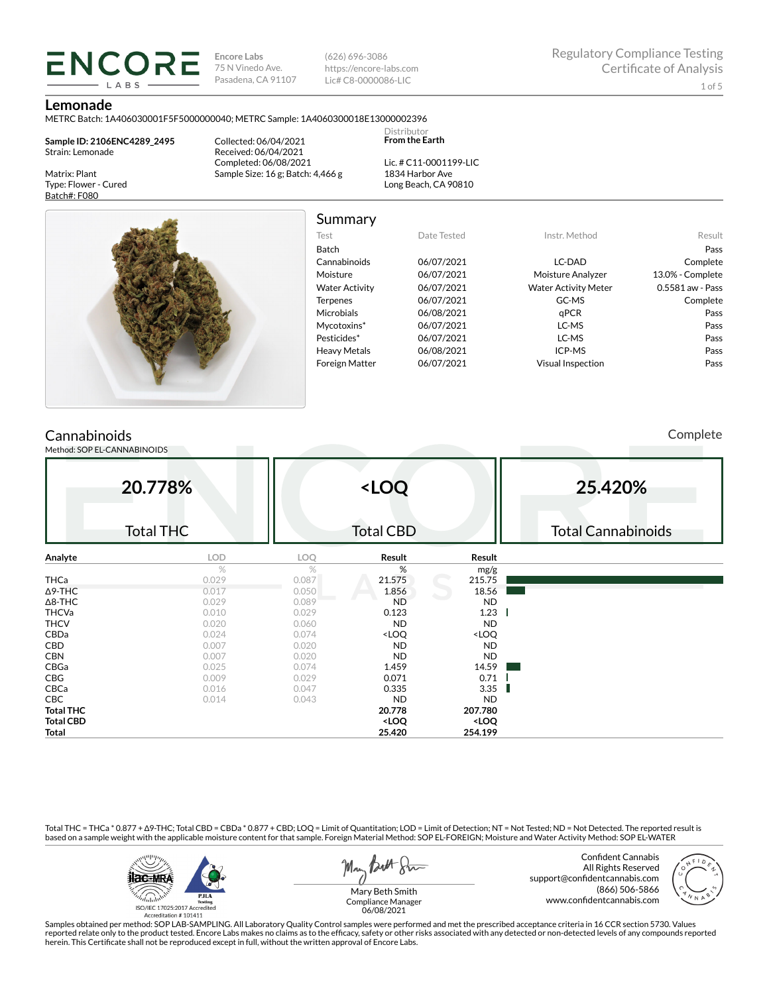**Encore Labs** 75 N Vinedo Ave. Pasadena, CA 91107

(626) 696-3086 https://encore-labs.com Lic# C8-0000086-LIC

#### **Lemonade**

Matrix: Plant Type: Flower - Cured Batch#: F080

METRC Batch: 1A406030001F5F5000000040; METRC Sample: 1A4060300018E13000002396

**Sample ID: 2106ENC4289\_2495** Strain: Lemonade

**ENCORE** LABS

> Collected: 06/04/2021 Received: 06/04/2021 Completed: 06/08/2021 Sample Size: 16 g; Batch: 4,466 g

Lic. # C11-0001199-LIC 1834 Harbor Ave Long Beach, CA 90810

Distributor **From the Earth**



Summary

Test Date Tested Instr. Method Result Batch Pass Cannabinoids 06/07/2021 LC-DAD Complete Moisture 06/07/2021 Moisture Analyzer 13.0% - Complete Water Activity  $06/07/2021$  Water Activity Meter 0.5581 aw - Pass Terpenes 06/07/2021 GC-MS GC-MS Complete Microbials 06/08/2021 qPCR Pass Mycotoxins\* 06/07/2021 LC-MS Pass Pesticides\* 06/07/2021 LC-MS Pass Heavy Metals  $06/08/2021$  ICP-MS Pass Foreign Matter 06/07/2021 Visual Inspection Pass

## **Cannabinoids**

Method: SOP EL-CANNABINOIDS

Complete

| 20.778%<br><b>Total THC</b> |       | <loq<br><b>Total CBD</b></loq<br> |                                                          |                              | 25.420%<br><b>Total Cannabinoids</b> |  |  |
|-----------------------------|-------|-----------------------------------|----------------------------------------------------------|------------------------------|--------------------------------------|--|--|
| Analyte                     | LOD   | <b>LOQ</b>                        | Result                                                   | Result                       |                                      |  |  |
|                             | $\%$  | $\%$                              | %                                                        | mg/g                         |                                      |  |  |
| <b>THCa</b>                 | 0.029 | 0.087                             | 21.575                                                   | 215.75                       |                                      |  |  |
| $\Delta$ 9-THC              | 0.017 | 0.050                             | 1.856                                                    | 18.56                        |                                      |  |  |
| $\Delta$ 8-THC              | 0.029 | 0.089                             | <b>ND</b>                                                | ND.                          |                                      |  |  |
| <b>THCVa</b>                | 0.010 | 0.029                             | 0.123                                                    | 1.23                         |                                      |  |  |
| <b>THCV</b>                 | 0.020 | 0.060                             | <b>ND</b>                                                | <b>ND</b>                    |                                      |  |  |
| CBDa                        | 0.024 | 0.074                             | <loq< td=""><td><loq< td=""><td></td></loq<></td></loq<> | <loq< td=""><td></td></loq<> |                                      |  |  |
| CBD                         | 0.007 | 0.020                             | <b>ND</b>                                                | <b>ND</b>                    |                                      |  |  |
| <b>CBN</b>                  | 0.007 | 0.020                             | <b>ND</b>                                                | <b>ND</b>                    |                                      |  |  |
| CBGa                        | 0.025 | 0.074                             | 1.459                                                    | 14.59                        |                                      |  |  |
| CBG                         | 0.009 | 0.029                             | 0.071                                                    | 0.71                         |                                      |  |  |
| CBCa                        | 0.016 | 0.047                             | 0.335                                                    | 3.35                         |                                      |  |  |
| <b>CBC</b>                  | 0.014 | 0.043                             | <b>ND</b>                                                | <b>ND</b>                    |                                      |  |  |
| <b>Total THC</b>            |       |                                   | 20.778                                                   | 207.780                      |                                      |  |  |
| <b>Total CBD</b>            |       |                                   | <loq< td=""><td><loq< td=""><td></td></loq<></td></loq<> | <loq< td=""><td></td></loq<> |                                      |  |  |
| Total                       |       |                                   | 25.420                                                   | 254.199                      |                                      |  |  |

Total THC = THCa \* 0.877 + ∆9-THC; Total CBD = CBDa \* 0.877 + CBD; LOQ = Limit of Quantitation; LOD = Limit of Detection; NT = Not Tested; ND = Not Detected. The reported result is based on a sample weight with the applicable moisture content for that sample. Foreign Material Method: SOP EL-FOREIGN; Moisture and Water Activity Method: SOP EL-WATER



May Both Stre

Confident Cannabis All Rights Reserved support@confidentcannabis.com (866) 506-5866 www.confidentcannabis.com



Mary Beth Smith Compliance Manager 06/08/2021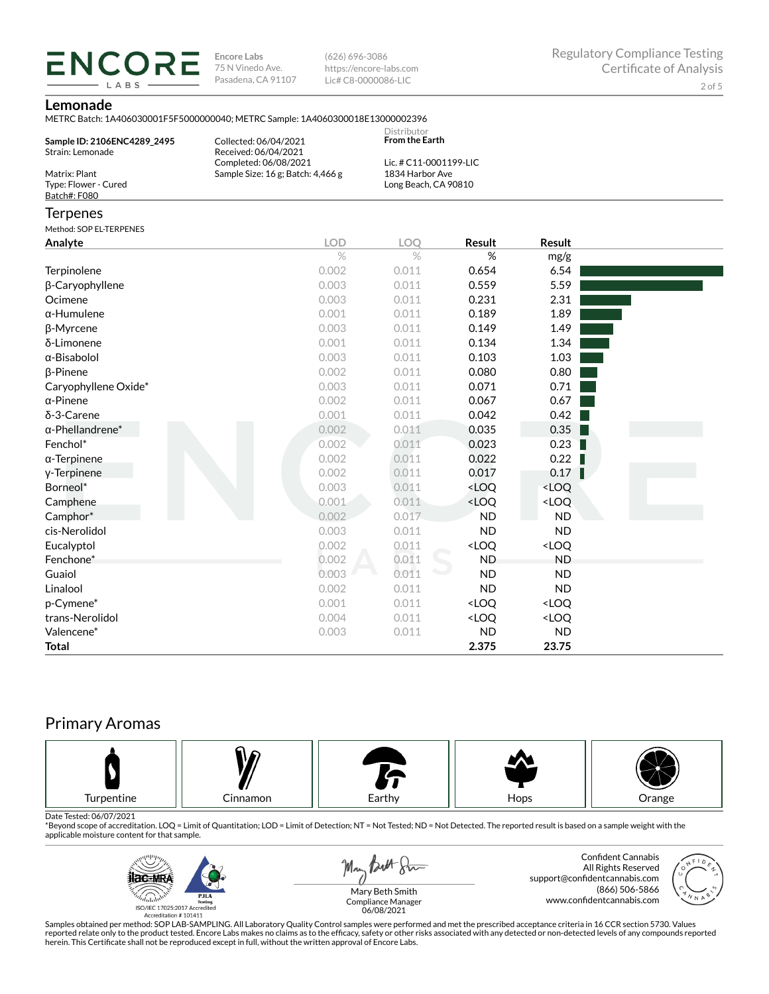**ENCORE Encore Labs** 75 N Vinedo Ave. Pasadena, CA 91107

(626) 696-3086 https://encore-labs.com Lic# C8-0000086-LIC

#### **Lemonade**

LABS

METRC Batch: 1A406030001F5F5000000040; METRC Sample: 1A4060300018E13000002396

|                                                       | <u>IVIET NU BAICH. IA40003000 IF JFJ000000040, IVIET NU SAIIIDIE. IA40003000 ISE ISO00002370</u> |                                                                |                                                          |                              |  |
|-------------------------------------------------------|--------------------------------------------------------------------------------------------------|----------------------------------------------------------------|----------------------------------------------------------|------------------------------|--|
| Sample ID: 2106ENC4289_2495<br>Strain: Lemonade       | Collected: 06/04/2021<br>Received: 06/04/2021<br>Completed: 06/08/2021                           | Distributor<br><b>From the Earth</b><br>Lic. # C11-0001199-LIC |                                                          |                              |  |
| Matrix: Plant<br>Type: Flower - Cured<br>Batch#: F080 | Sample Size: 16 g; Batch: 4,466 g                                                                | 1834 Harbor Ave<br>Long Beach, CA 90810                        |                                                          |                              |  |
| <b>Terpenes</b>                                       |                                                                                                  |                                                                |                                                          |                              |  |
| Method: SOP EL-TERPENES                               |                                                                                                  |                                                                |                                                          |                              |  |
| Analyte                                               | <b>LOD</b>                                                                                       | LOQ                                                            | Result                                                   | <b>Result</b>                |  |
|                                                       | $\%$                                                                                             | $\%$                                                           | %                                                        | mg/g                         |  |
| Terpinolene                                           | 0.002                                                                                            | 0.011                                                          | 0.654                                                    | 6.54                         |  |
| β-Caryophyllene                                       | 0.003                                                                                            | 0.011                                                          | 0.559                                                    | 5.59                         |  |
| Ocimene                                               | 0.003                                                                                            | 0.011                                                          | 0.231                                                    | 2.31                         |  |
| $\alpha$ -Humulene                                    | 0.001                                                                                            | 0.011                                                          | 0.189                                                    | 1.89                         |  |
| <b>ß-Myrcene</b>                                      | 0.003                                                                                            | 0.011                                                          | 0.149                                                    | 1.49                         |  |
| δ-Limonene                                            | 0.001                                                                                            | 0.011                                                          | 0.134                                                    | 1.34                         |  |
| $\alpha$ -Bisabolol                                   | 0.003                                                                                            | 0.011                                                          | 0.103                                                    | 1.03                         |  |
| β-Pinene                                              | 0.002                                                                                            | 0.011                                                          | 0.080                                                    | 0.80                         |  |
| Caryophyllene Oxide*                                  | 0.003                                                                                            | 0.011                                                          | 0.071                                                    | 0.71                         |  |
| $\alpha$ -Pinene                                      | 0.002                                                                                            | 0.011                                                          | 0.067                                                    | 0.67                         |  |
| δ-3-Carene                                            | 0.001                                                                                            | 0.011                                                          | 0.042                                                    | 0.42                         |  |
| $\alpha$ -Phellandrene*                               | 0.002                                                                                            | 0.011                                                          | 0.035                                                    | 0.35                         |  |
| Fenchol*                                              | 0.002                                                                                            | 0.011                                                          | 0.023                                                    | 0.23                         |  |
| $\alpha$ -Terpinene                                   | 0.002                                                                                            | 0.011                                                          | 0.022                                                    | 0.22                         |  |
| y-Terpinene                                           | 0.002                                                                                            | 0.011                                                          | 0.017                                                    | 0.17                         |  |
| Borneol*                                              | 0.003                                                                                            | 0.011                                                          | <loq< td=""><td><loq< td=""><td></td></loq<></td></loq<> | <loq< td=""><td></td></loq<> |  |
| Camphene                                              | 0.001                                                                                            | 0.011                                                          | <loq< td=""><td><loq< td=""><td></td></loq<></td></loq<> | <loq< td=""><td></td></loq<> |  |
| Camphor*                                              | 0.002                                                                                            | 0.017                                                          | <b>ND</b>                                                | <b>ND</b>                    |  |
| cis-Nerolidol                                         | 0.003                                                                                            | 0.011                                                          | <b>ND</b>                                                | <b>ND</b>                    |  |
| Eucalyptol                                            | 0.002                                                                                            | 0.011                                                          | <loq< td=""><td><loq< td=""><td></td></loq<></td></loq<> | <loq< td=""><td></td></loq<> |  |
| Fenchone*                                             | 0.002                                                                                            | 0.011                                                          | <b>ND</b>                                                | <b>ND</b>                    |  |
| Guaiol                                                | 0.003                                                                                            | 0.011                                                          | <b>ND</b>                                                | <b>ND</b>                    |  |
| Linalool                                              | 0.002                                                                                            | 0.011                                                          | <b>ND</b>                                                | <b>ND</b>                    |  |
| p-Cymene*                                             | 0.001                                                                                            | 0.011                                                          | <loq< td=""><td><loq< td=""><td></td></loq<></td></loq<> | <loq< td=""><td></td></loq<> |  |
| trans-Nerolidol                                       | 0.004                                                                                            | 0.011                                                          | <loq< td=""><td><loq< td=""><td></td></loq<></td></loq<> | <loq< td=""><td></td></loq<> |  |
| Valencene*                                            | 0.003                                                                                            | 0.011                                                          | <b>ND</b>                                                | <b>ND</b>                    |  |
| <b>Total</b>                                          |                                                                                                  |                                                                | 2.375                                                    | 23.75                        |  |

# Primary Aromas



Date Tested: 06/07/2021<br>\*Beyond scope of accreditation. LOQ = Limit of Quantitation; LOD = Limit of Detection; NT = Not Tested; ND = Not Detected. The reported result is based on a sample weight with the applicable moisture content for that sample.



Confident Cannabis All Rights Reserved support@confidentcannabis.com (866) 506-5866 www.confidentcannabis.com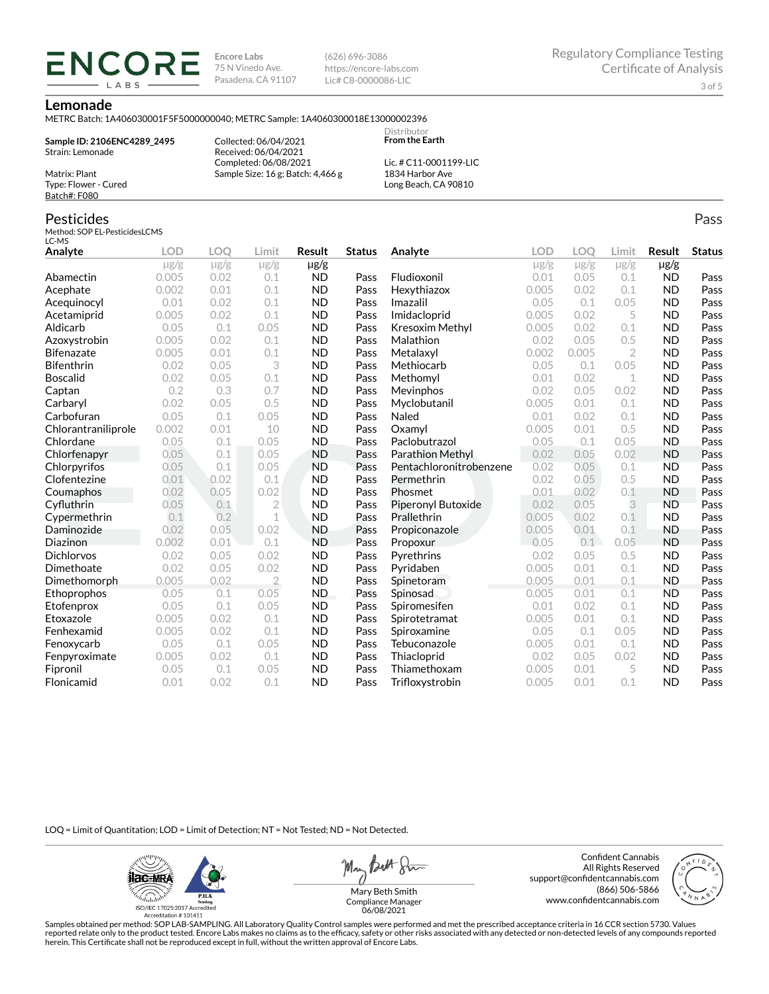**Encore Labs** 75 N Vinedo Ave. Pasadena, CA 91107 (626) 696-3086 https://encore-labs.com Lic# C8-0000086-LIC

#### **Lemonade**

METRC Batch: 1A406030001F5F5000000040; METRC Sample: 1A4060300018E13000002396

**Sample ID: 2106ENC4289\_2495** Strain: Lemonade Matrix: Plant

**ENCOR** LABS

> Collected: 06/04/2021 Received: 06/04/2021 Completed: 06/08/2021 Sample Size: 16 g; Batch: 4,466 g

Lic. # C11-0001199-LIC 1834 Harbor Ave Long Beach, CA 90810

Distributor **From the Earth**

### Pesticides

Type: Flower - Cured Batch#: F080

Method: SOP EL-PesticidesLCMS LC-MS

| LC-MD               |            |            |                |           |               |                         |            |           |                |           |               |
|---------------------|------------|------------|----------------|-----------|---------------|-------------------------|------------|-----------|----------------|-----------|---------------|
| Analyte             | <b>LOD</b> | <b>LOO</b> | Limit          | Result    | <b>Status</b> | Analyte                 | <b>LOD</b> | LOO       | Limit          | Result    | <b>Status</b> |
|                     | $\mu$ g/g  | $\mu$ g/g  | $\mu$ g/g      | $\mu$ g/g |               |                         | $\mu$ g/g  | $\mu$ g/g | $\mu$ g/g      | $\mu$ g/g |               |
| Abamectin           | 0.005      | 0.02       | 0.1            | <b>ND</b> | Pass          | Fludioxonil             | 0.01       | 0.05      | 0.1            | <b>ND</b> | Pass          |
| Acephate            | 0.002      | 0.01       | 0.1            | <b>ND</b> | Pass          | Hexythiazox             | 0.005      | 0.02      | 0.1            | <b>ND</b> | Pass          |
| Acequinocyl         | 0.01       | 0.02       | 0.1            | <b>ND</b> | Pass          | Imazalil                | 0.05       | 0.1       | 0.05           | <b>ND</b> | Pass          |
| Acetamiprid         | 0.005      | 0.02       | 0.1            | <b>ND</b> | Pass          | Imidacloprid            | 0.005      | 0.02      | 5              | <b>ND</b> | Pass          |
| Aldicarb            | 0.05       | 0.1        | 0.05           | <b>ND</b> | Pass          | Kresoxim Methyl         | 0.005      | 0.02      | 0.1            | <b>ND</b> | Pass          |
| Azoxystrobin        | 0.005      | 0.02       | 0.1            | <b>ND</b> | Pass          | Malathion               | 0.02       | 0.05      | 0.5            | <b>ND</b> | Pass          |
| <b>Bifenazate</b>   | 0.005      | 0.01       | 0.1            | <b>ND</b> | Pass          | Metalaxyl               | 0.002      | 0.005     | $\overline{2}$ | <b>ND</b> | Pass          |
| <b>Bifenthrin</b>   | 0.02       | 0.05       | 3              | <b>ND</b> | Pass          | Methiocarb              | 0.05       | 0.1       | 0.05           | <b>ND</b> | Pass          |
| <b>Boscalid</b>     | 0.02       | 0.05       | 0.1            | <b>ND</b> | Pass          | Methomyl                | 0.01       | 0.02      | 1              | <b>ND</b> | Pass          |
| Captan              | 0.2        | 0.3        | 0.7            | <b>ND</b> | Pass          | Mevinphos               | 0.02       | 0.05      | 0.02           | <b>ND</b> | Pass          |
| Carbaryl            | 0.02       | 0.05       | 0.5            | <b>ND</b> | Pass          | Myclobutanil            | 0.005      | 0.01      | 0.1            | <b>ND</b> | Pass          |
| Carbofuran          | 0.05       | 0.1        | 0.05           | <b>ND</b> | Pass          | Naled                   | 0.01       | 0.02      | 0.1            | <b>ND</b> | Pass          |
| Chlorantraniliprole | 0.002      | 0.01       | 10             | <b>ND</b> | Pass          | Oxamyl                  | 0.005      | 0.01      | 0.5            | <b>ND</b> | Pass          |
| Chlordane           | 0.05       | 0.1        | 0.05           | <b>ND</b> | Pass          | Paclobutrazol           | 0.05       | 0.1       | 0.05           | <b>ND</b> | Pass          |
| Chlorfenapyr        | 0.05       | 0.1        | 0.05           | <b>ND</b> | Pass          | Parathion Methyl        | 0.02       | 0.05      | 0.02           | <b>ND</b> | Pass          |
| Chlorpyrifos        | 0.05       | 0.1        | 0.05           | <b>ND</b> | Pass          | Pentachloronitrobenzene | 0.02       | 0.05      | 0.1            | <b>ND</b> | Pass          |
| Clofentezine        | 0.01       | 0.02       | 0.1            | <b>ND</b> | Pass          | Permethrin              | 0.02       | 0.05      | 0.5            | <b>ND</b> | Pass          |
| Coumaphos           | 0.02       | 0.05       | 0.02           | <b>ND</b> | Pass          | Phosmet                 | 0.01       | 0.02      | 0.1            | <b>ND</b> | Pass          |
| Cyfluthrin          | 0.05       | 0.1        | $\overline{2}$ | <b>ND</b> | Pass          | Piperonyl Butoxide      | 0.02       | 0.05      | 3              | <b>ND</b> | Pass          |
| Cypermethrin        | 0.1        | 0.2        | 1              | <b>ND</b> | Pass          | Prallethrin             | 0.005      | 0.02      | 0.1            | <b>ND</b> | Pass          |
| Daminozide          | 0.02       | 0.05       | 0.02           | <b>ND</b> | Pass          | Propiconazole           | 0.005      | 0.01      | 0.1            | <b>ND</b> | Pass          |
| Diazinon            | 0.002      | 0.01       | 0.1            | <b>ND</b> | Pass          | Propoxur                | 0.05       | 0.1       | 0.05           | <b>ND</b> | Pass          |
| <b>Dichlorvos</b>   | 0.02       | 0.05       | 0.02           | <b>ND</b> | Pass          | Pyrethrins              | 0.02       | 0.05      | 0.5            | <b>ND</b> | Pass          |
| Dimethoate          | 0.02       | 0.05       | 0.02           | <b>ND</b> | Pass          | Pyridaben               | 0.005      | 0.01      | 0.1            | <b>ND</b> | Pass          |
| Dimethomorph        | 0.005      | 0.02       | $\overline{2}$ | <b>ND</b> | Pass          | Spinetoram              | 0.005      | 0.01      | 0.1            | <b>ND</b> | Pass          |
| Ethoprophos         | 0.05       | 0.1        | 0.05           | <b>ND</b> | Pass          | Spinosad                | 0.005      | 0.01      | 0.1            | <b>ND</b> | Pass          |
| Etofenprox          | 0.05       | 0.1        | 0.05           | <b>ND</b> | Pass          | Spiromesifen            | 0.01       | 0.02      | 0.1            | <b>ND</b> | Pass          |
| Etoxazole           | 0.005      | 0.02       | 0.1            | <b>ND</b> | Pass          | Spirotetramat           | 0.005      | 0.01      | 0.1            | <b>ND</b> | Pass          |
| Fenhexamid          | 0.005      | 0.02       | 0.1            | <b>ND</b> | Pass          | Spiroxamine             | 0.05       | 0.1       | 0.05           | <b>ND</b> | Pass          |
| Fenoxycarb          | 0.05       | 0.1        | 0.05           | <b>ND</b> | Pass          | Tebuconazole            | 0.005      | 0.01      | 0.1            | <b>ND</b> | Pass          |
| Fenpyroximate       | 0.005      | 0.02       | 0.1            | <b>ND</b> | Pass          | Thiacloprid             | 0.02       | 0.05      | 0.02           | <b>ND</b> | Pass          |
| Fipronil            | 0.05       | 0.1        | 0.05           | <b>ND</b> | Pass          | Thiamethoxam            | 0.005      | 0.01      | 5              | <b>ND</b> | Pass          |
| Flonicamid          | 0.01       | 0.02       | 0.1            | <b>ND</b> | Pass          | Trifloxystrobin         | 0.005      | 0.01      | 0.1            | <b>ND</b> | Pass          |

LOQ = Limit of Quantitation; LOD = Limit of Detection; NT = Not Tested; ND = Not Detected.

**ilac-MRA PJLA**  $d_{\rm thbb}$ ISO/IEC 17025:2017 Ac Accreditation #101411

May Butt Sim

Confident Cannabis All Rights Reserved support@confidentcannabis.com (866) 506-5866 www.confidentcannabis.com



Mary Beth Smith Compliance Manager 06/08/2021

Samples obtained per method: SOP LAB-SAMPLING. All Laboratory Quality Control samples were performed and met the prescribed acceptance criteria in 16 CCR section 5730. Values reported relate only to the product tested. Encore Labs makes no claims as to the efficacy, safety or other risks associated with any detected or non-detected levels of any compounds reported<br>herein. This Certificate shall

Pass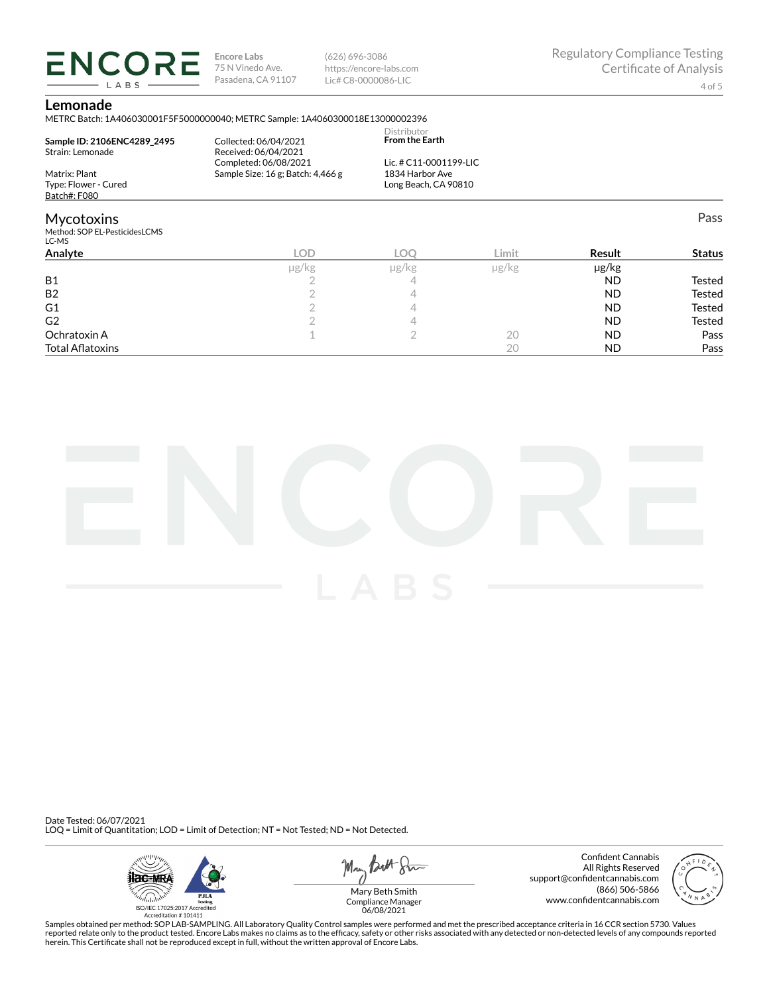**ENCORE Encore Labs** 75 N Vinedo Ave. Pasadena, CA 91107

(626) 696-3086 https://encore-labs.com Lic# C8-0000086-LIC

Pass

#### **Lemonade**

LABS

METRC Batch: 1A406030001F5F5000000040; METRC Sample: 1A4060300018E13000002396

| Sample ID: 2106ENC4289 2495            | Collected: 06/04/2021             | Distributor<br><b>From the Earth</b> |  |
|----------------------------------------|-----------------------------------|--------------------------------------|--|
| Strain: Lemonade                       | Received: 06/04/2021              |                                      |  |
|                                        | Completed: 06/08/2021             | Lic. # C11-0001199-LIC               |  |
| Matrix: Plant                          | Sample Size: 16 g; Batch: 4,466 g | 1834 Harbor Ave                      |  |
| Type: Flower - Cured                   |                                   | Long Beach, CA 90810                 |  |
| Batch#: F080                           |                                   |                                      |  |
| <b>Mycotoxins</b>                      |                                   |                                      |  |
| Method: SOP EL-PesticidesLCMS<br>LC-MS |                                   |                                      |  |

| ---                     |       |            |       |           |               |
|-------------------------|-------|------------|-------|-----------|---------------|
| Analyte                 | LOD.  | <b>LOC</b> | Limit | Result    | <b>Status</b> |
|                         | µg/kg | µg/kg      | µg/kg | µg/kg     |               |
| <b>B1</b>               |       | <u>_</u>   |       | <b>ND</b> | Tested        |
| <b>B2</b>               |       |            |       | <b>ND</b> | Tested        |
| G <sub>1</sub>          |       |            |       | <b>ND</b> | Tested        |
| G <sub>2</sub>          |       |            |       | <b>ND</b> | <b>Tested</b> |
| Ochratoxin A            |       |            | 20    | <b>ND</b> | Pass          |
| <b>Total Aflatoxins</b> |       |            | 20    | <b>ND</b> | Pass          |



Date Tested: 06/07/2021 LOQ = Limit of Quantitation; LOD = Limit of Detection; NT = Not Tested; ND = Not Detected.



May *Butt* 8mm

Confident Cannabis All Rights Reserved support@confidentcannabis.com (866) 506-5866 www.confidentcannabis.com



Compliance Manager 06/08/2021